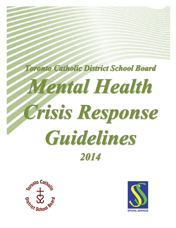# **Toronto Catholic District School Board** Mental Health Crisis Response Guidelines 2014



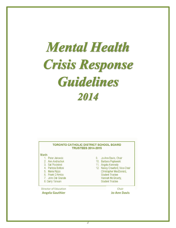## **Mental Health** Crisis Response **Guidelines** 2014

#### **TORONTO CATHOLIC DISTRICT SCHOOL BOARD TRUSTEES 2014-2015**

Wards

- 1. Peter Jakovcic
- 2. Ann Andrachuk
- 3. Sal Piccininni
- 4. Patrizia Bottoni
- 5. Maria Rizzo
- 6. Frank D'Amico
- 7. John Del Grande
- 8. Garry Tanuan

Director of Education **Angela Gauthier**

- 9. Jo-Ann Davis, Chair
- 10. Barbara Poplawski
- 11. Angela Kennedy
- 12. Nancy Crawford, Vice-Chair Christopher MacDonald, **Student Trustee** Hannah McGroarty, **Student Trustee**

Chair

**Jo-Ann Davis**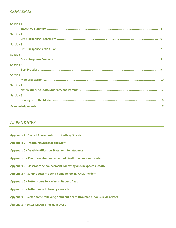#### *CONTENTS*

| <b>Section 1</b> |  |
|------------------|--|
|                  |  |
| <b>Section 2</b> |  |
|                  |  |
| <b>Section 3</b> |  |
|                  |  |
| <b>Section 4</b> |  |
|                  |  |
| <b>Section 5</b> |  |
|                  |  |
| <b>Section 6</b> |  |
|                  |  |
| <b>Section 7</b> |  |
|                  |  |
| <b>Section 8</b> |  |
|                  |  |
|                  |  |

#### *APPENDICES*

- **Appendix A - Special Considerations: Death by Suicide**
- **Appendix B - Informing Students and Staff**
- **Appendix C - Death Notification Statement for students**
- **Appendix D - Classroom Announcement of Death that was anticipated**
- **Appendix E - Classroom Announcement Following an Unexpected Death**
- **Appendix F - Sample Letter to send home following Crisis Incident**
- **Appendix G - Letter Home following a Student Death**
- **Appendix H - Letter home following a suicide**
- **Appendix I - Letter home following a student death (traumatic- non suicide related)**
- **Appendix J - Letter following traumatic event**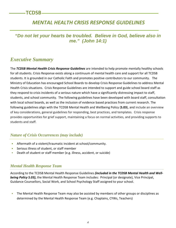## *MENTAL HEALTH CRISIS RESPONSE GUIDELINES*

*"Do not let your hearts be troubled. Believe in God, believe also in me." (John 14:1)*

### *Executive Summary*

The *TCDSB Mental Health Crisis Response Guidelines* are intended to help promote mentally healthy schools for all students. Crisis Response exists along a continuum of mental health care and support for all TCDSB students. It is grounded in our Catholic Faith and promotes positive contributors to our community. The Ministry of Education has encouraged School Boards to develop Crisis Response Guidelines to address Mental Health Crisis situations. Crisis Response Guidelines are intended to support and guide school board staff as they respond to crisis incidents of a serious nature which have a significantly distressing impact to staff, students, and school community. The following guidelines have been developed with board staff, consultation with local school boards, as well as the inclusion of evidence based practices from current research. The following guidelines align with the TCDSB Mental Health and Wellbeing Policy (**S.03**), and include an overview of key considerations, general guidelines for responding, best practices, and templates. Crisis response provides opportunities for grief support, maintaining a focus on normal activities, and providing supports to students and staff.

#### *Nature of Crisis Occurrences (may include)*

- Aftermath of a violent/traumatic incident at school/community.
- **Serious illness of student, or staff member**
- Death of student or staff member (e.g. illness, accident, or suicide)

#### *Mental Health Response Team*

According to the TCDSB Mental Health Response Guidelines *(included in the TCDSB Mental Health and Wellbeing Policy S.03)***,** the Mental Health Response Team includes: Principal (or designate), Vice Principal, Guidance Counsellors, Social Work, and School Psychology Staff assigned to your school.

 The Mental Health Response Team may also be assisted by members of other groups or disciplines as determined by the Mental Health Response Team (e.g. Chaplains, CYWs, Teachers)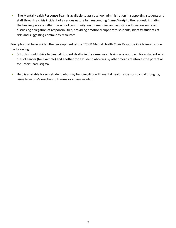The Mental Health Response Team is available to assist school administration in supporting students and staff through a crisis incident of a serious nature by: responding *immediately* to the request, initiating the healing process within the school community, recommending and assisting with necessary tasks, discussing delegation of responsibilities, providing emotional support to students, identify students at risk, and suggesting community resources.

Principles that have guided the development of the TCDSB Mental Health Crisis Response Guidelines include the following:

- Schools should strive to treat all student deaths in the same way. Having one approach for a student who dies of cancer (for example) and another for a student who dies by other means reinforces the potential for unfortunate stigma.
- Help is available for *any* student who may be struggling with mental health issues or suicidal thoughts, rising from one's reaction to trauma or a crisis incident.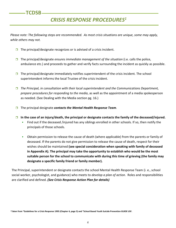#### **TCDSB**

## *CRISIS RESPONSE PROCEDURES1*

*Please note: The following steps are recommended. As most crisis situations are unique, some may apply, while others may not.*

- $\Box$  The principal/designate recognizes or is advised of a crisis incident.
- The principal/designate *ensures immediate management of the situation* (i.e. calls the police, ambulance etc.) and proceeds to gather and verify facts surrounding the incident as quickly as possible.
- The principal/designate immediately notifies superintendent of the crisis incident*.* The school superintendent informs the local Trustee of the crisis incident.
- *The Principal, in consultation with their local superintendent and the Communications Department, prepare procedures for responding to the media*, as well as the appointment of a media spokesperson as needed. (See Dealing with the Media section pg. 16.)
- The principal designate *contacts the Mental Health Response Team*.
- **In the case of an injury/death, the principal or designate contacts the family of the deceased/injured.** 
	- Find out if the deceased /injured has any siblings enrolled in other schools. If so, then notify the principals of those schools.
	- Obtain permission to release the cause of death (where applicable) from the parents or family of deceased. If the parents do not give permission to release the cause of death, respect for their wishes should be maintained **(see special consideration when speaking with family of deceased in Appendix A). The principal may take the opportunity to establish who would be the most suitable person for the school to communicate with during this time of grieving (the family may designate a specific family friend or family member).**

The Principal, superintendent or designate contacts the school Mental Health Response Team (i. e., school social worker, psychologist, and guidance) who meets to *develop a plan of action*. Roles and responsibilities are clarified and defined. *(See Crisis Response Action Plan for details)*

<sup>1</sup>**Taken from "Guidelines for a Crisis Response 1995 (Chapter 4, page 5) and "School Based Youth Suicide Prevention GUIDE USF.**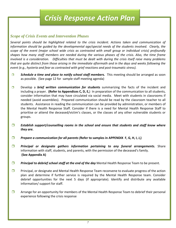## *Crisis Response Action Plan*

#### *Scope of Crisis Events and Intervention Phases*

*Several points should be highlighted related to the crisis incident. Actions taken and communication of information should be guided by the developmental age/special needs of the students involved. Clearly, the scope of the event (major school wide crisis as contrasted with small group or individual crisis) profoundly shapes how many staff members are needed during the various phases of the crisis. Also, the time frame involved is a consideration. Difficulties that must be dealt with during the crisis itself raise many problems that are quite distinct from those arising in the immediate aftermath and in the days and weeks following the event (e.g., hysteria and fear as contrasted with grief reactions and post-traumatic stress).*

- **Schedule a time and place to notify school staff members.** This meeting should be arranged as soon as possible. (See page 12 for sample staff meeting agenda)
- Develop a *brief written communication for* **students** summarizing the facts of the incident and including a prayer. **(Refer to Appendices C, D, E,**) In preparation of the communication to all students, consider information that may have circulated via social media. Meet with students in classrooms if needed (avoid assemblies). Prepared communication should be read by the classroom teacher to all students. Assistance in reading the communication can be provided by administration, or members of the Mental Health Response Staff. Consider if there is a need for Mental Health Response Staff to prioritise or attend the deceased/victim's classes, or the classes of any other vulnerable students or groups.
- *Establish support/counselling rooms in the school and ensure that students and staff know where they are.*
- *Prepare a communication for all parents (***Refer to samples in APPENDIX F, G, H, I, J,)**
- *Principal or designate gathers information pertaining to any funeral arrangements.* Share information with staff, students, and parents, with the permission of the deceased's family. **(See Appendix A)**
- *Principal to debrief school staff at the end of the day* **Mental Health Response Team to be present.**
- $\square$  Principal, or designate and Mental Health Response Team reconvene to evaluate progress of the action plan and determine if further service is required by the Mental Health Response team. Consider debrief opportunities for the next 5 days (if appropriate). Identify and distribute any available information/ support for staff.
- $\Box$  Arrange for an opportunity for members of the Mental Health Response Team to debrief their personal experience following the crisis response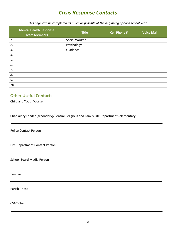## *Crisis Response Contacts*

*This page can be completed as much as possible at the beginning of each school year.*

| <b>Mental Health Response</b><br><b>Team Members</b> | <b>Title</b>  | <b>Cell Phone #</b> | <b>Voice Mail</b> |
|------------------------------------------------------|---------------|---------------------|-------------------|
| 1.                                                   | Social Worker |                     |                   |
| 2.                                                   | Psychology    |                     |                   |
| 3.                                                   | Guidance      |                     |                   |
| 4.                                                   |               |                     |                   |
| 5.                                                   |               |                     |                   |
| 6.                                                   |               |                     |                   |
| 7.                                                   |               |                     |                   |
| 8.                                                   |               |                     |                   |
| 9.                                                   |               |                     |                   |
| 10.                                                  |               |                     |                   |

#### **Other Useful Contacts:**

Child and Youth Worker

Chaplaincy Leader (secondary)/Central Religious and Family Life Department (elementary)

Police Contact Person

Fire Department Contact Person

School Board Media Person

Trustee

Parish Priest

CSAC Chair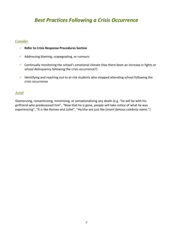## *Best Practices Following a Crisis Occurrence*

#### *Consider*

- **Refer to Crisis Response Procedures Section**
- $\checkmark$  Addressing blaming, scapegoating, or rumours
- $\checkmark$  Continually monitoring the school's emotional climate (Has there been an increase in fights or school delinquency following the crisis occurrence?)
- $\checkmark$  Identifying and reaching out to at-risk students who stopped attending school following the crisis occurrence

#### *Avoid*

Glamorizing, romanticizing, minimizing, or sensationalizing any death (e.g. "he will be with his girlfriend who predeceased him", "Now that he is gone, people will take notice of what he was experiencing", "It is like Romeo and Juliet", "He/she are just like (*insert famous celebrity name.*")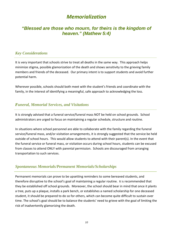## *Memorialization*

#### *"Blessed are those who mourn, for theirs is the kingdom of heaven." (Mathew 5:4)*

#### *Key Considerations*

It is very important that schools strive to treat all deaths in the same way. This approach helps minimize stigma, possible glamorization of the death and shows sensitivity to the grieving family members and friends of the deceased. Our primary intent is to support students and avoid further potential harm.

Wherever possible, schools should both meet with the student's friends and coordinate with the family, in the interest of identifying a meaningful, safe approach to acknowledging the loss.

#### *Funeral, Memorial Services, and Visitations*

It is strongly advised that a funeral service/funeral mass NOT be held on school grounds. School administrators are urged to focus on maintaining a regular schedule, structure and routine.

In situations where school personnel are able to collaborate with the family regarding the funeral service/funeral mass, and/or visitation arrangements, it is strongly suggested that the service be held outside of school hours. This would allow students to attend with their parent(s). In the event that the funeral service or funeral mass, or visitation occurs during school hours, students can be excused from classes to attend ONLY with parental permission. Schools are discouraged from arranging transportation to such services.

#### *Spontaneous Memorials/Permanent Memorials/Scholarships*

Permanent memorials can prove to be upsetting reminders to some bereaved students, and therefore disruptive to the school's goal of maintaining a regular routine. It is recommended that they be established off school grounds. Moreover, the school should bear in mind that once it plants a tree, puts up a plaque, installs a park bench, or establishes a named scholarship for one deceased student, it should be prepared to do so for others, which can become quite difficult to sustain over time. The school's goal should be to balance the students' need to grieve with the goal of limiting the risk of inadvertently glamorizing the death.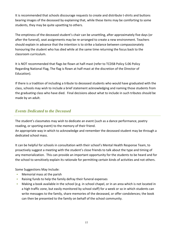It is recommended that schools discourage requests to create and distribute t-shirts and buttons bearing images of the deceased by explaining that, while these items may be comforting to some students, they may be quite upsetting to others.

The emptiness of the deceased student's chair can be unsettling, after approximately five days (or after the funeral), seat assignments may be re-arranged to create a new environment. Teachers should explain in advance that the intention is to strike a balance between compassionately honouring the student who has died while at the same time returning the focus back to the classroom curriculum.

It is NOT recommended that flags be flown at half-mast (refer to TCDSB Policy S.06 Policy Regarding National Flag, The flag is flown at half-mast at the discretion of the Director of Education).

If there is a tradition of including a tribute to deceased students who would have graduated with the class, schools may wish to include a brief statement acknowledging and naming those students from the graduating class who have died. Final decisions about what to include in such tributes should be made by an adult.

#### *Events Dedicated to the Deceased*

The student's classmates may wish to dedicate an event (such as a dance performance, poetry reading, or sporting event) to the memory of their friend.

An appropriate way in which to acknowledge and remember the deceased student may be through a dedicated school mass.

It can be helpful for schools in consultation with their school's Mental Health Response Team, to proactively suggest a meeting with the student's close friends to talk about the type and timing of any memorialization. This can provide an important opportunity for the students to be heard and for the school to sensitively explain its rationale for permitting certain kinds of activities and not others.

Some Suggestions May Include:

- Memorial mass at the parish
- Raising funds to help the family defray their funeral expenses
- Making a book available in the school (e.g. in school chapel, or in an area which is not located in a high traffic zone, but easily monitored by school staff) for a week or so in which students can write messages to the family, share memories of the deceased, or offer condolences; the book can then be presented to the family on behalf of the school community.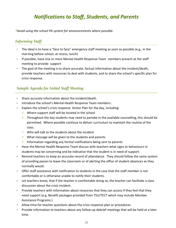## *Notifications to Staff, Students, and Parents*

*\*Avoid using the school PA system for announcements where possible.*

#### *Informing Staff*

- The ideal is to have a "face to face" emergency staff meeting as soon as possible (e.g., in the morning before school, at recess, lunch)
- If possible, have one or more Mental Health Response Team members present at the staff meeting to provide support
- The goal of the meeting is to share accurate, factual information about the incident/death, provide teachers with resources to deal with students, and to share the school's specific plan for crisis response.

#### *Sample Agenda for Initial Staff Meeting*

- Share accurate information about the incident/death.
- **Introduce the school's Mental Health Response Team members.**
- Explain the school's crisis response Action Plan for the day, including:
	- $\checkmark$  Where support staff will be located in the school
	- $\checkmark$  Throughout the day students may need to partake in the available counselling, this should be permitted. Where possible continue to deliver curriculum to maintain the routine of the class.
	- $\checkmark$  Who will talk to the students about the incident
	- $\checkmark$  What message will be given to the students and parents
	- $\checkmark$  Information regarding any formal notifications being sent to parents
- **Have the Mental Health Response Team discuss with teachers what signs or behaviours in** students may be concerning and be indicative that the student is in need of support.
- Remind teachers to keep an accurate record of attendance. They should follow the same system of providing passes to leave the classroom or of alerting the office of student absences as they normally would.
- Offer staff assistance with notification to students in the case that the staff member is not comfortable or is otherwise unable to notify their students.
- Let teachers know, that if the teacher is comfortable doing so, the teacher can facilitate a class discussion about the crisis incident.
- **Provide teachers with information about resources that they can access if they feel that they** need support (e.g. Benefit packages provided from TSU/TECT which may include Member Assistance Programs.)
- Allow time for teacher questions about the crisis response plan or procedures
- Provide information to teachers about any follow-up debrief meetings that will be held at a later time.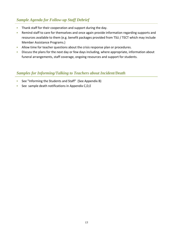#### *Sample Agenda for Follow-up Staff Debrief*

- Thank staff for their cooperation and support during the day.
- Remind staff to care for themselves and once again provide information regarding supports and resources available to them (e.g. benefit packages provided from TSU / TECT which may include Member Assistance Programs.)
- Allow time for teacher questions about the crisis response plan or procedures.
- Discuss the plans for the next day or few days including, where appropriate, information about funeral arrangements, staff coverage, ongoing resources and support for students.

#### *Samples for Informing/Talking to Teachers about Incident/Death*

- See "Informing the Students and Staff" (See Appendix B)
- See sample death notifications in Appendix C,D,E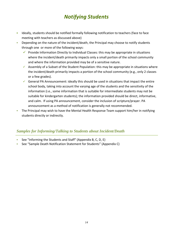## *Notifying Students*

- <sup>•</sup> Ideally, students should be notified formally following notification to teachers (face to face meeting with teachers as discussed above)
- Depending on the nature of the incident/death, the Principal may choose to notify students through one or more of the following ways:
	- **Provide Information Directly to Individual Classes: this may be appropriate in situations** where the incident/death primarily impacts only a small portion of the school community and where the information provided may be of a sensitive nature.
	- $\checkmark$  Assembly of a Subset of the Student Population: this may be appropriate in situations where the incident/death primarily impacts a portion of the school community (e.g., only 2 classes or a few grades).
	- General PA Announcement: ideally this should be used in situations that impact the entire school body, taking into account the varying age of the students and the sensitivity of the information (i.e., some information that is suitable for intermediate students may not be suitable for kindergarten students); the information provided should be direct, informative, and calm. If using PA announcement, consider the inclusion of scripture/prayer. PA announcement as a method of notification is generally not recommended.
- The Principal may wish to have the Mental Health Response Team support him/her in notifying students directly or indirectly.

#### *Samples for Informing/Talking to Students about Incident/Death*

- See "Informing the Students and Staff" (Appendix B, C, D, E)
- See "Sample Death Notification Statement for Students" (Appendix C)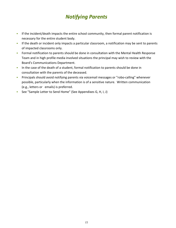## *Notifying Parents*

- If the incident/death impacts the entire school community, then formal parent notification is necessary for the entire student body.
- If the death or incident only impacts a particular classroom, a notification may be sent to parents of impacted classrooms only.
- **Formal notification to parents should be done in consultation with the Mental Health Response** Team and in high profile media involved situations the principal may wish to review with the Board's Communications Department.
- In the case of the death of a student, formal notification to parents should be done in consultation with the parents of the deceased.
- Principals should avoid notifying parents via voicemail messages or "robo-calling" whenever possible, particularly when the information is of a sensitive nature. Written communication (e.g., letters or emails) is preferred.
- See "Sample Letter to Send Home" (See Appendixes G, H, I, J)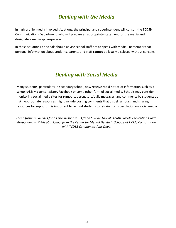## *Dealing with the Media*

In high profile, media involved situations, the principal and superintendent will consult the TCDSB Communications Department, who will prepare an appropriate statement for the media and designate a media spokesperson.

In these situations principals should advise school staff not to speak with media. Remember that personal information about students, parents and staff **cannot** be legally disclosed without consent.

## *Dealing with Social Media*

Many students, particularly in secondary school, now receive rapid notice of information such as a school crisis via texts, twitter, Facebook or some other form of social media. Schools may consider monitoring social media sites for rumours, derogatory/bully messages, and comments by students at risk. Appropriate responses might include posting comments that dispel rumours, and sharing resources for support. It is important to remind students to refrain from speculation on social media.

*Taken from: Guidelines for a Crisis Response: After a Suicide Toolkit; Youth Suicide Prevention Guide: Responding to Crisis at a School from the Center for Mental Health in Schools at UCLA, Consultation with TCDSB Communications Dept.*